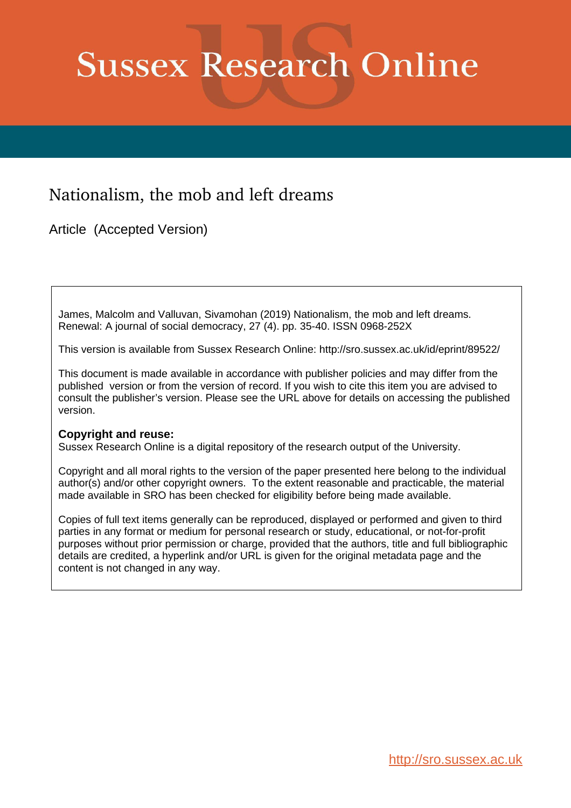## **Sussex Research Online**

## Nationalism, the mob and left dreams

Article (Accepted Version)

James, Malcolm and Valluvan, Sivamohan (2019) Nationalism, the mob and left dreams. Renewal: A journal of social democracy, 27 (4). pp. 35-40. ISSN 0968-252X

This version is available from Sussex Research Online: http://sro.sussex.ac.uk/id/eprint/89522/

This document is made available in accordance with publisher policies and may differ from the published version or from the version of record. If you wish to cite this item you are advised to consult the publisher's version. Please see the URL above for details on accessing the published version.

## **Copyright and reuse:**

Sussex Research Online is a digital repository of the research output of the University.

Copyright and all moral rights to the version of the paper presented here belong to the individual author(s) and/or other copyright owners. To the extent reasonable and practicable, the material made available in SRO has been checked for eligibility before being made available.

Copies of full text items generally can be reproduced, displayed or performed and given to third parties in any format or medium for personal research or study, educational, or not-for-profit purposes without prior permission or charge, provided that the authors, title and full bibliographic details are credited, a hyperlink and/or URL is given for the original metadata page and the content is not changed in any way.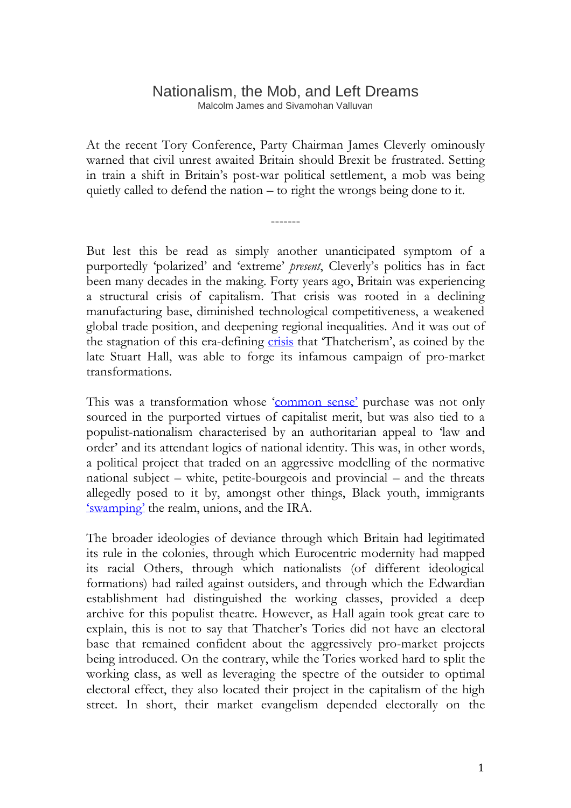## Nationalism, the Mob, and Left Dreams Malcolm James and Sivamohan Valluvan

At the recent Tory Conference, Party Chairman James Cleverly ominously warned that civil unrest awaited Britain should Brexit be frustrated. Setting in train a shift in Britain's post-war political settlement, a mob was being quietly called to defend the nation – to right the wrongs being done to it.

-------

But lest this be read as simply another unanticipated symptom of a purportedly 'polarized' and 'extreme' *present*, Cleverly's politics has in fact been many decades in the making. Forty years ago, Britain was experiencing a structural crisis of capitalism. That crisis was rooted in a declining manufacturing base, diminished technological competitiveness, a weakened global trade position, and deepening regional inequalities. And it was out of the stagnation of this era-defining [crisis](https://books.google.co.uk/books?id=OPdoDwAAQBAJ&pg=PT254&lpg=PT254&dq=malcolm+james+authoritarian+populism+populist+authoritarianism&source=bl&ots=10iZ9k4j7b&sig=ACfU3U2Yq5kuGIaG6pvDk0EwAskoHO3ZfQ&hl=en&sa=X&ved=2ahUKEwjGk5ONrpvlAhUltnEKHUMBBAwQ6AEwA3oECAoQAQ#v=onepage&q=malcolm%20james%20authoritarian%20populism%20populist%20authoritarianism&f=false) that 'Thatcherism', as coined by the late Stuart Hall, was able to forge its infamous campaign of pro-market transformations.

This was a transformation whose '[common](https://books.google.co.uk/books/about/Gramsci_s_Common_Sense.html?id=sIARDQAAQBAJ&source=kp_book_description&redir_esc=y) sense' purchase was not only sourced in the purported virtues of capitalist merit, but was also tied to a populist-nationalism characterised by an authoritarian appeal to 'law and order' and its attendant logics of national identity. This was, in other words, a political project that traded on an aggressive modelling of the normative national subject – white, petite-bourgeois and provincial – and the threats allegedly posed to it by, amongst other things, Black youth, immigrants '[swamping](https://www.theguardian.com/uk-news/2014/oct/27/swamped-and-riddled-toxic-phrases-wreck-politics-immigration-michael-fallon)' the realm, unions, and the IRA.

The broader ideologies of deviance through which Britain had legitimated its rule in the colonies, through which Eurocentric modernity had mapped its racial Others, through which nationalists (of different ideological formations) had railed against outsiders, and through which the Edwardian establishment had distinguished the working classes, provided a deep archive for this populist theatre. However, as Hall again took great care to explain, this is not to say that Thatcher's Tories did not have an electoral base that remained confident about the aggressively pro-market projects being introduced. On the contrary, while the Tories worked hard to split the working class, as well as leveraging the spectre of the outsider to optimal electoral effect, they also located their project in the capitalism of the high street. In short, their market evangelism depended electorally on the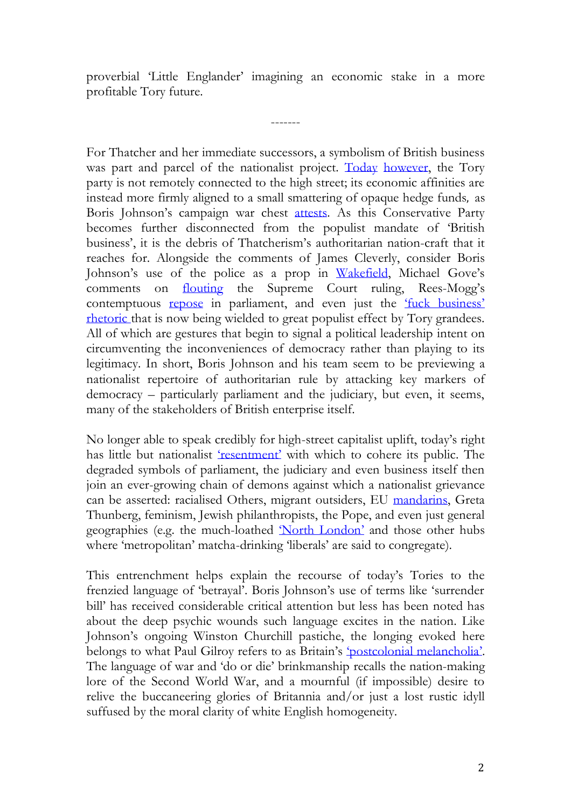proverbial 'Little Englander' imagining an economic stake in a more profitable Tory future.

-------

For Thatcher and her immediate successors, a symbolism of British business was part and parcel of the nationalist project. [Today](https://www.theguardian.com/politics/2019/may/28/a-zombie-party-the-deepening-crisis-of-conservatism) [however,](https://www.theguardian.com/commentisfree/2019/oct/09/brexit-crisis-global-capitalism-britain-place-world) the Tory party is not remotely connected to the high street; its economic affinities are instead more firmly aligned to a small smattering of opaque hedge funds, as Boris Johnson's campaign war chest [attests.](https://bylinetimes.com/2019/09/12/why-boris-johnsons-funding-from-hedge-funds-is-a-matter-of-public-interest/) As this Conservative Party becomes further disconnected from the populist mandate of 'British business', it is the debris of Thatcherism's authoritarian nation-craft that it reaches for. Alongside the comments of James Cleverly, consider Boris Johnson's use of the police as a prop in [Wakefield,](https://www.bbc.co.uk/news/uk-england-leeds-49605966) Michael Gove's comments on [flouting](https://www.theguardian.com/politics/video/2019/sep/01/michael-gove-does-not-rule-out-ignoring-legislation-stop-no-deal-brexit-video) the Supreme Court ruling, Rees-Mogg's contemptuous [repose](https://www.independent.co.uk/voices/jacob-rees-mogg-brexit-debate-lying-down-boris-johnson-tories-ed-miliband-a9091156.html) in parliament, and even just the ['fuck business'](https://www.ft.com/content/48d782da-890e-11e9-a028-86cea8523dc2) [rhetoric](https://www.theguardian.com/politics/2019/jun/30/jeremy-hunt-i-would-tell-bust-businesses-no-deal-brexit-was-worth-it) that is now being wielded to great populist effect by Tory grandees. All of which are gestures that begin to signal a political leadership intent on circumventing the inconveniences of democracy rather than playing to its legitimacy. In short, Boris Johnson and his team seem to be previewing a nationalist repertoire of authoritarian rule by attacking key markers of democracy – particularly parliament and the judiciary, but even, it seems, many of the stakeholders of British enterprise itself.

No longer able to speak credibly for high-street capitalist uplift, today's right has little but nationalist '[resentment](https://www.theguardian.com/commentisfree/2019/oct/01/tories-values-brexit-johnson-cummings?fbclid=IwAR1C2ALYTP-26K3BBYozEBP3pfLllU2UwQiKfn7n1aZpGiU-AGb_0gutaMc)' with which to cohere its public. The degraded symbols of parliament, the judiciary and even business itself then join an ever-growing chain of demons against which a nationalist grievance can be asserted: racialised Others, migrant outsiders, EU [mandarins,](https://www.standard.co.uk/comment/comment/eu-mandarin-s-loose-talk-is-a-wakeup-call-on-brexit-deal-a4035356.html) Greta Thunberg, feminism, Jewish philanthropists, the Pope, and even just general geographies (e.g. the much-loathed '[North London](https://www.theguardian.com/commentisfree/2019/oct/11/reckless-tory-pantomime-authoritarianism-thatcherism)' and those other hubs where 'metropolitan' matcha-drinking 'liberals' are said to congregate).

This entrenchment helps explain the recourse of today's Tories to the frenzied language of 'betrayal'. Boris Johnson's use of terms like 'surrender bill' has received considerable critical attention but less has been noted has about the deep psychic wounds such language excites in the nation. Like Johnson's ongoing Winston Churchill pastiche, the longing evoked here belongs to what Paul Gilroy refers to as Britain's '[postcolonial melancholia](https://cup.columbia.edu/book/postcolonial-melancholia/9780231134552)'. The language of war and 'do or die' brinkmanship recalls the nation-making lore of the Second World War, and a mournful (if impossible) desire to relive the buccaneering glories of Britannia and/or just a lost rustic idyll suffused by the moral clarity of white English homogeneity.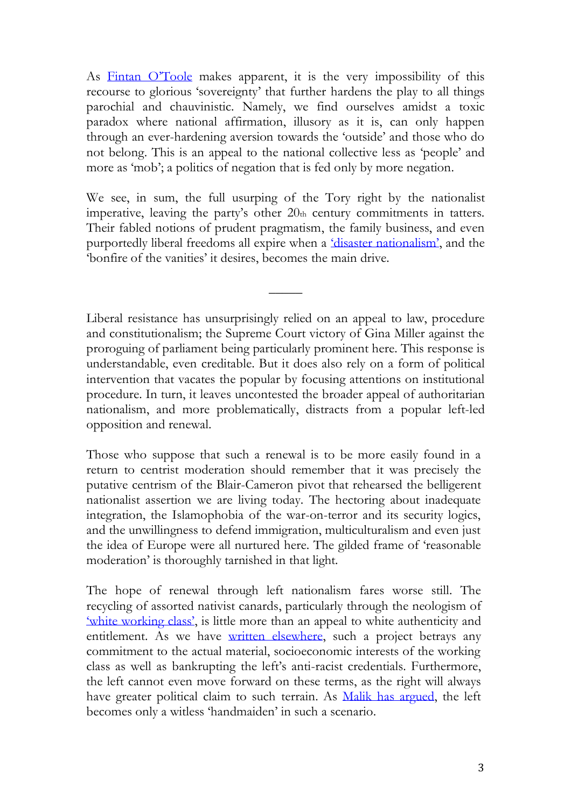As [Fintan O'](https://books.google.co.uk/books/about/Heroic_Failure.html?id=q0FuDwAAQBAJ&source=kp_book_description&redir_esc=y)Toole makes apparent, it is the very impossibility of this recourse to glorious 'sovereignty' that further hardens the play to all things parochial and chauvinistic. Namely, we find ourselves amidst a toxic paradox where national affirmation, illusory as it is, can only happen through an ever-hardening aversion towards the 'outside' and those who do not belong. This is an appeal to the national collective less as 'people' and more as 'mob'; a politics of negation that is fed only by more negation.

We see, in sum, the full usurping of the Tory right by the nationalist imperative, leaving the party's other 20th century commitments in tatters. Their fabled notions of prudent pragmatism, the family business, and even purportedly liberal freedoms all expire when a ['disaster nationalism'](https://www.patreon.com/posts/30002342), and the 'bonfire of the vanities' it desires, becomes the main drive.

 $\overline{\phantom{a}}$ 

Liberal resistance has unsurprisingly relied on an appeal to law, procedure and constitutionalism; the Supreme Court victory of Gina Miller against the proroguing of parliament being particularly prominent here. This response is understandable, even creditable. But it does also rely on a form of political intervention that vacates the popular by focusing attentions on institutional procedure. In turn, it leaves uncontested the broader appeal of authoritarian nationalism, and more problematically, distracts from a popular left-led opposition and renewal.

Those who suppose that such a renewal is to be more easily found in a return to centrist moderation should remember that it was precisely the putative centrism of the Blair-Cameron pivot that rehearsed the belligerent nationalist assertion we are living today. The hectoring about inadequate integration, the Islamophobia of the war-on-terror and its security logics, and the unwillingness to defend immigration, multiculturalism and even just the idea of Europe were all nurtured here. The gilded frame of 'reasonable moderation' is thoroughly tarnished in that light.

The hope of renewal through left nationalism fares worse still. The recycling of assorted nativist canards, particularly through the neologism of ['white working class'](https://www.theguardian.com/commentisfree/2019/mar/07/white-working-class-bigotry-midde-income-earners-prejudice), is little more than an appeal to white authenticity and entitlement. As we have [written elsewhere,](http://salvage.zone/in-print/left-problems-nationalism-and-the-crisis/) such a project betrays any commitment to the actual material, socioeconomic interests of the working class as well as bankrupting the left's anti-racist credentials. Furthermore, the left cannot even move forward on these terms, as the right will always have greater political claim to such terrain. As Malik has [argued,](https://www.theguardian.com/commentisfree/2018/nov/23/hillary-clinton-populism-europe-immigration) the left becomes only a witless 'handmaiden' in such a scenario.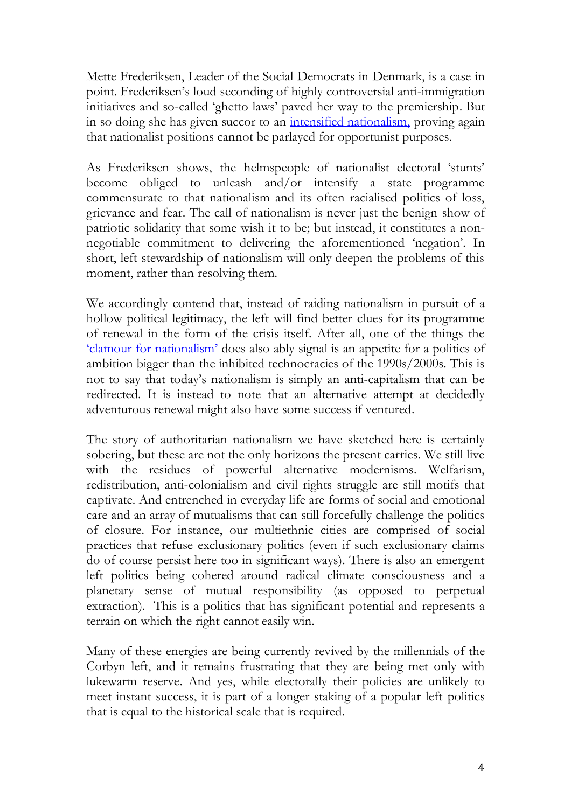Mette Frederiksen, Leader of the Social Democrats in Denmark, is a case in point. Frederiksen's loud seconding of highly controversial anti-immigration initiatives and so-called 'ghetto laws' paved her way to the premiership. But in so doing she has given succor to an [intensified nationalism,](https://www.theguardian.com/world/2019/may/11/denmark-election-matte-frederiksen-leftwing-immigration) proving again that nationalist positions cannot be parlayed for opportunist purposes.

As Frederiksen shows, the helmspeople of nationalist electoral 'stunts' become obliged to unleash and/or intensify a state programme commensurate to that nationalism and its often racialised politics of loss, grievance and fear. The call of nationalism is never just the benign show of patriotic solidarity that some wish it to be; but instead, it constitutes a nonnegotiable commitment to delivering the aforementioned 'negation'. In short, left stewardship of nationalism will only deepen the problems of this moment, rather than resolving them.

We accordingly contend that, instead of raiding nationalism in pursuit of a hollow political legitimacy, the left will find better clues for its programme of renewal in the form of the crisis itself. After all, one of the things the '[clamour for nationalism](https://www.manchesteruniversitypress.co.uk/9781526126146/)' does also ably signal is an appetite for a politics of ambition bigger than the inhibited technocracies of the 1990s/2000s. This is not to say that today's nationalism is simply an anti-capitalism that can be redirected. It is instead to note that an alternative attempt at decidedly adventurous renewal might also have some success if ventured.

The story of authoritarian nationalism we have sketched here is certainly sobering, but these are not the only horizons the present carries. We still live with the residues of powerful alternative modernisms. Welfarism, redistribution, anti-colonialism and civil rights struggle are still motifs that captivate. And entrenched in everyday life are forms of social and emotional care and an array of mutualisms that can still forcefully challenge the politics of closure. For instance, our multiethnic cities are comprised of social practices that refuse exclusionary politics (even if such exclusionary claims do of course persist here too in significant ways). There is also an emergent left politics being cohered around radical climate consciousness and a planetary sense of mutual responsibility (as opposed to perpetual extraction). This is a politics that has significant potential and represents a terrain on which the right cannot easily win.

Many of these energies are being currently revived by the millennials of the Corbyn left, and it remains frustrating that they are being met only with lukewarm reserve. And yes, while electorally their policies are unlikely to meet instant success, it is part of a longer staking of a popular left politics that is equal to the historical scale that is required.